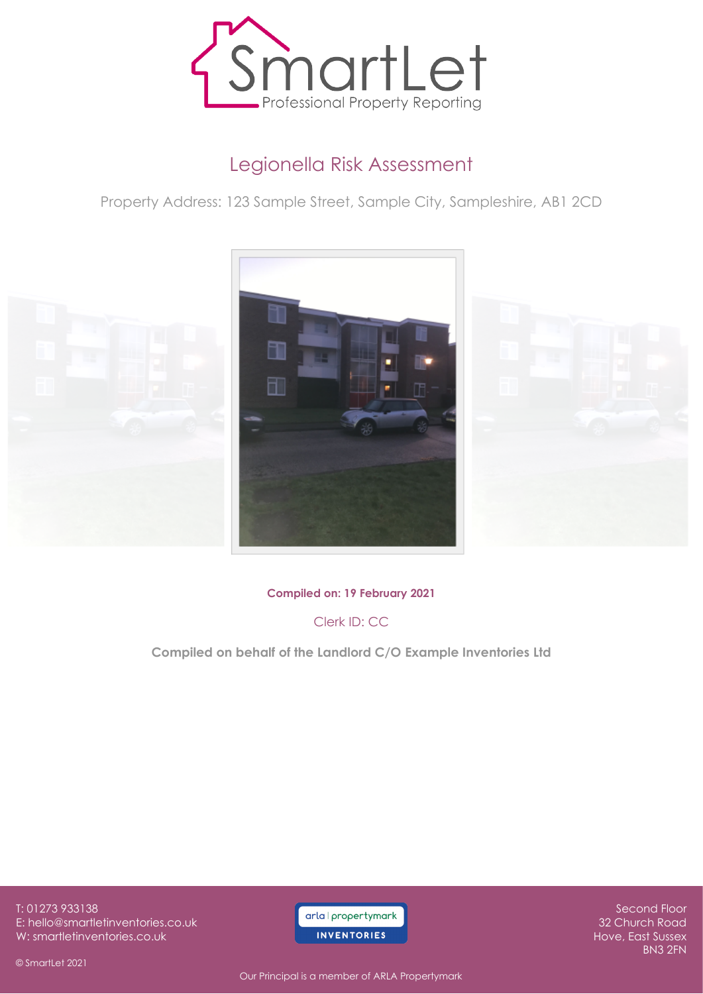

# Legionella Risk Assessment

Property Address: 123 Sample Street, Sample City, Sampleshire, AB1 2CD



**Compiled on: 19 February 2021**

Clerk ID: CC

**Compiled on behalf of the Landlord C/O Example Inventories Ltd**

T: 01273 933138 E: hello@smartletinventories.co.uk W: smartletinventories.co.uk

© SmartLet 2021

arla I propertymark **INVENTORIES** 

Second Floor 32 Church Road Hove, East Sussex BN3 2FN

Our Principal is a member of ARLA Propertymark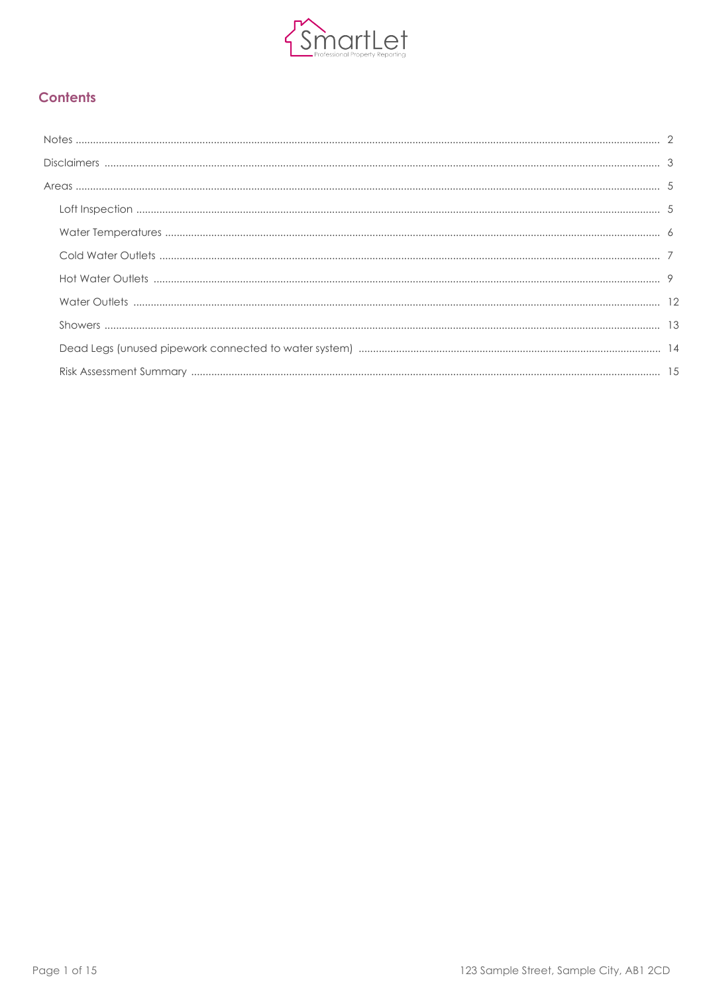

### **Contents**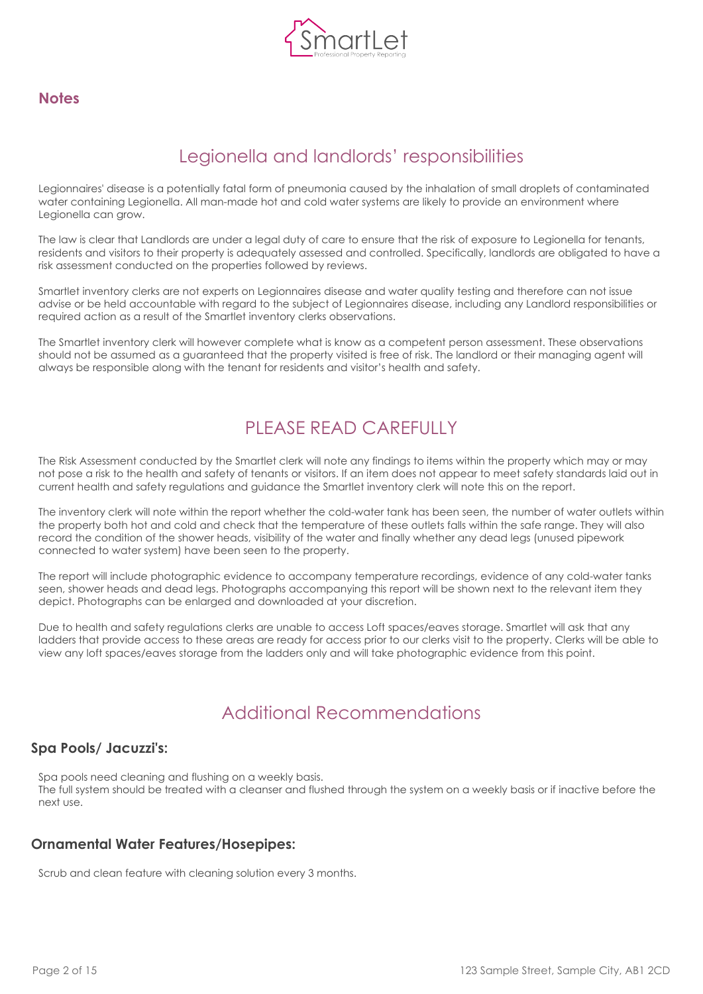

### <span id="page-2-0"></span>**Notes**

# Legionella and landlords' responsibilities

Legionnaires' disease is a potentially fatal form of pneumonia caused by the inhalation of small droplets of contaminated water containing Legionella. All man-made hot and cold water systems are likely to provide an environment where Legionella can grow.

The law is clear that Landlords are under a legal duty of care to ensure that the risk of exposure to Legionella for tenants, residents and visitors to their property is adequately assessed and controlled. Specifically, landlords are obligated to have a risk assessment conducted on the properties followed by reviews.

Smartlet inventory clerks are not experts on Legionnaires disease and water quality testing and therefore can not issue advise or be held accountable with regard to the subject of Legionnaires disease, including any Landlord responsibilities or required action as a result of the Smartlet inventory clerks observations.

The Smartlet inventory clerk will however complete what is know as a competent person assessment. These observations should not be assumed as a guaranteed that the property visited is free of risk. The landlord or their managing agent will always be responsible along with the tenant for residents and visitor's health and safety.

# PLEASE READ CAREFULLY

The Risk Assessment conducted by the Smartlet clerk will note any findings to items within the property which may or may not pose a risk to the health and safety of tenants or visitors. If an item does not appear to meet safety standards laid out in current health and safety regulations and guidance the Smartlet inventory clerk will note this on the report.

The inventory clerk will note within the report whether the cold-water tank has been seen, the number of water outlets within the property both hot and cold and check that the temperature of these outlets falls within the safe range. They will also record the condition of the shower heads, visibility of the water and finally whether any dead legs (unused pipework connected to water system) have been seen to the property.

The report will include photographic evidence to accompany temperature recordings, evidence of any cold-water tanks seen, shower heads and dead legs. Photographs accompanying this report will be shown next to the relevant item they depict. Photographs can be enlarged and downloaded at your discretion.

Due to health and safety regulations clerks are unable to access Loft spaces/eaves storage. Smartlet will ask that any ladders that provide access to these areas are ready for access prior to our clerks visit to the property. Clerks will be able to view any loft spaces/eaves storage from the ladders only and will take photographic evidence from this point.

## Additional Recommendations

### **Spa Pools/ Jacuzzi's:**

Spa pools need cleaning and flushing on a weekly basis. The full system should be treated with a cleanser and flushed through the system on a weekly basis or if inactive before the next use.

### **Ornamental Water Features/Hosepipes:**

Scrub and clean feature with cleaning solution every 3 months.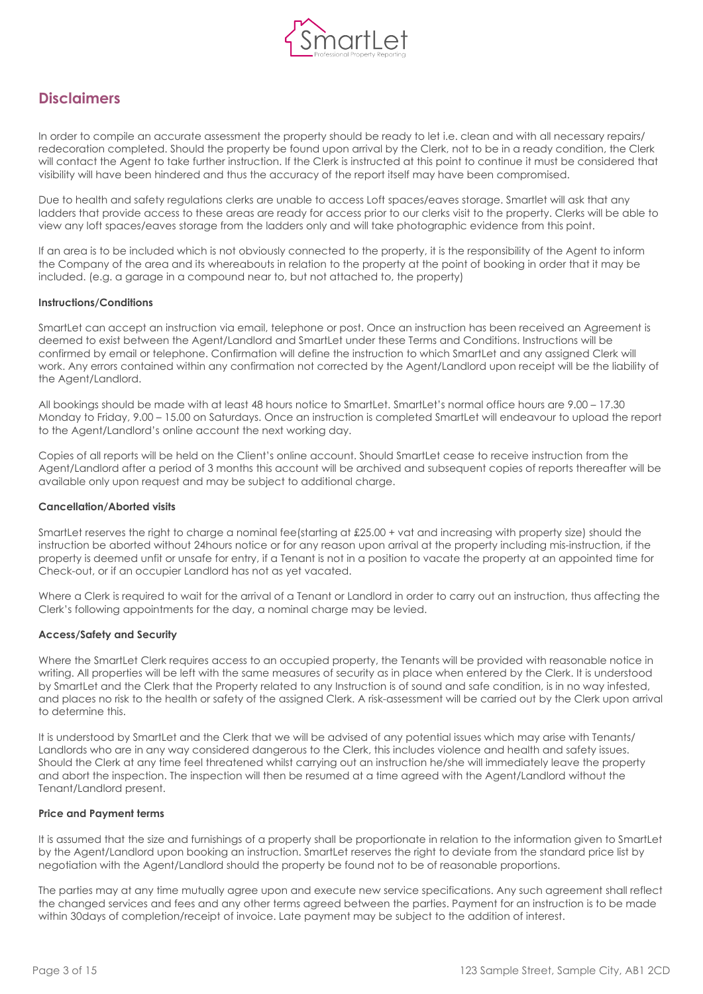

### <span id="page-3-0"></span>**Disclaimers**

In order to compile an accurate assessment the property should be ready to let i.e. clean and with all necessary repairs/ redecoration completed. Should the property be found upon arrival by the Clerk, not to be in a ready condition, the Clerk will contact the Agent to take further instruction. If the Clerk is instructed at this point to continue it must be considered that visibility will have been hindered and thus the accuracy of the report itself may have been compromised.

Due to health and safety regulations clerks are unable to access Loft spaces/eaves storage. Smartlet will ask that any ladders that provide access to these areas are ready for access prior to our clerks visit to the property. Clerks will be able to view any loft spaces/eaves storage from the ladders only and will take photographic evidence from this point.

If an area is to be included which is not obviously connected to the property, it is the responsibility of the Agent to inform the Company of the area and its whereabouts in relation to the property at the point of booking in order that it may be included. (e.g. a garage in a compound near to, but not attached to, the property)

#### **Instructions/Conditions**

SmartLet can accept an instruction via email, telephone or post. Once an instruction has been received an Agreement is deemed to exist between the Agent/Landlord and SmartLet under these Terms and Conditions. Instructions will be confirmed by email or telephone. Confirmation will define the instruction to which SmartLet and any assigned Clerk will work. Any errors contained within any confirmation not corrected by the Agent/Landlord upon receipt will be the liability of the Agent/Landlord.

All bookings should be made with at least 48 hours notice to SmartLet. SmartLet's normal office hours are 9.00 – 17.30 Monday to Friday, 9.00 – 15.00 on Saturdays. Once an instruction is completed SmartLet will endeavour to upload the report to the Agent/Landlord's online account the next working day.

Copies of all reports will be held on the Client's online account. Should SmartLet cease to receive instruction from the Agent/Landlord after a period of 3 months this account will be archived and subsequent copies of reports thereafter will be available only upon request and may be subject to additional charge.

#### **Cancellation/Aborted visits**

SmartLet reserves the right to charge a nominal fee(starting at £25.00 + vat and increasing with property size) should the instruction be aborted without 24hours notice or for any reason upon arrival at the property including mis-instruction, if the property is deemed unfit or unsafe for entry, if a Tenant is not in a position to vacate the property at an appointed time for Check-out, or if an occupier Landlord has not as yet vacated.

Where a Clerk is required to wait for the arrival of a Tenant or Landlord in order to carry out an instruction, thus affecting the Clerk's following appointments for the day, a nominal charge may be levied.

#### **Access/Safety and Security**

Where the SmartLet Clerk requires access to an occupied property, the Tenants will be provided with reasonable notice in writing. All properties will be left with the same measures of security as in place when entered by the Clerk. It is understood by SmartLet and the Clerk that the Property related to any Instruction is of sound and safe condition, is in no way infested, and places no risk to the health or safety of the assigned Clerk. A risk-assessment will be carried out by the Clerk upon arrival to determine this.

It is understood by SmartLet and the Clerk that we will be advised of any potential issues which may arise with Tenants/ Landlords who are in any way considered dangerous to the Clerk, this includes violence and health and safety issues. Should the Clerk at any time feel threatened whilst carrying out an instruction he/she will immediately leave the property and abort the inspection. The inspection will then be resumed at a time agreed with the Agent/Landlord without the Tenant/Landlord present.

#### **Price and Payment terms**

It is assumed that the size and furnishings of a property shall be proportionate in relation to the information given to SmartLet by the Agent/Landlord upon booking an instruction. SmartLet reserves the right to deviate from the standard price list by negotiation with the Agent/Landlord should the property be found not to be of reasonable proportions.

The parties may at any time mutually agree upon and execute new service specifications. Any such agreement shall reflect the changed services and fees and any other terms agreed between the parties. Payment for an instruction is to be made within 30days of completion/receipt of invoice. Late payment may be subject to the addition of interest.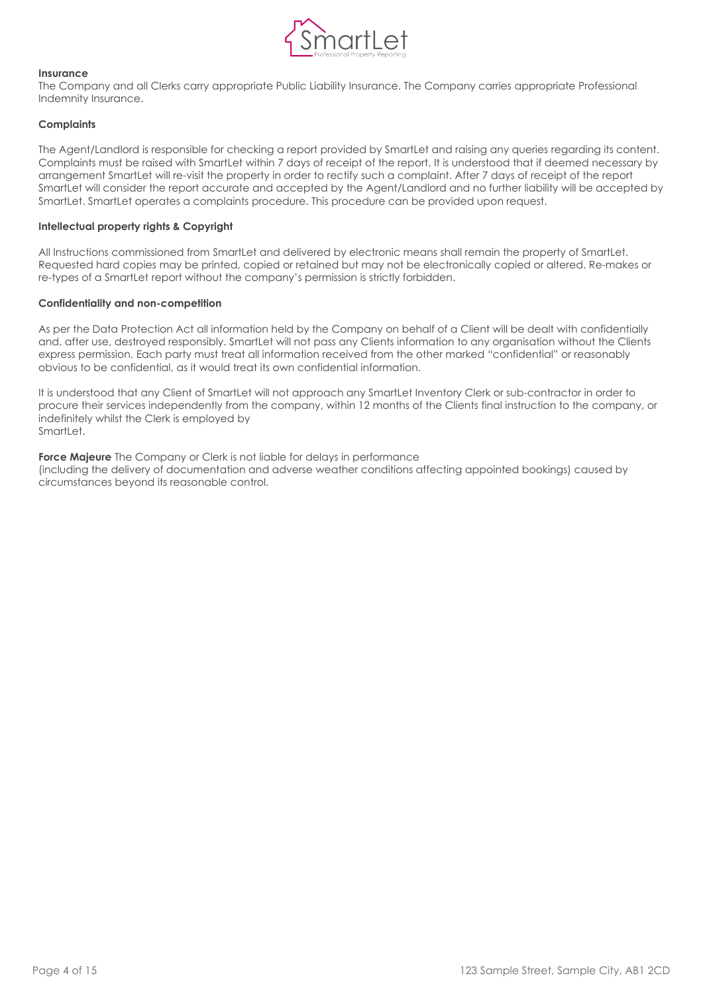

#### **Insurance**

The Company and all Clerks carry appropriate Public Liability Insurance. The Company carries appropriate Professional Indemnity Insurance.

#### **Complaints**

The Agent/Landlord is responsible for checking a report provided by SmartLet and raising any queries regarding its content. Complaints must be raised with SmartLet within 7 days of receipt of the report. It is understood that if deemed necessary by arrangement SmartLet will re-visit the property in order to rectify such a complaint. After 7 days of receipt of the report SmartLet will consider the report accurate and accepted by the Agent/Landlord and no further liability will be accepted by SmartLet. SmartLet operates a complaints procedure. This procedure can be provided upon request.

#### **Intellectual property rights & Copyright**

All Instructions commissioned from SmartLet and delivered by electronic means shall remain the property of SmartLet. Requested hard copies may be printed, copied or retained but may not be electronically copied or altered. Re-makes or re-types of a SmartLet report without the company's permission is strictly forbidden.

#### **Confidentiality and non-competition**

As per the Data Protection Act all information held by the Company on behalf of a Client will be dealt with confidentially and, after use, destroyed responsibly. SmartLet will not pass any Clients information to any organisation without the Clients express permission. Each party must treat all information received from the other marked "confidential" or reasonably obvious to be confidential, as it would treat its own confidential information.

It is understood that any Client of SmartLet will not approach any SmartLet Inventory Clerk or sub-contractor in order to procure their services independently from the company, within 12 months of the Clients final instruction to the company, or indefinitely whilst the Clerk is employed by SmartLet.

**Force Majeure** The Company or Clerk is not liable for delays in performance (including the delivery of documentation and adverse weather conditions affecting appointed bookings) caused by circumstances beyond its reasonable control.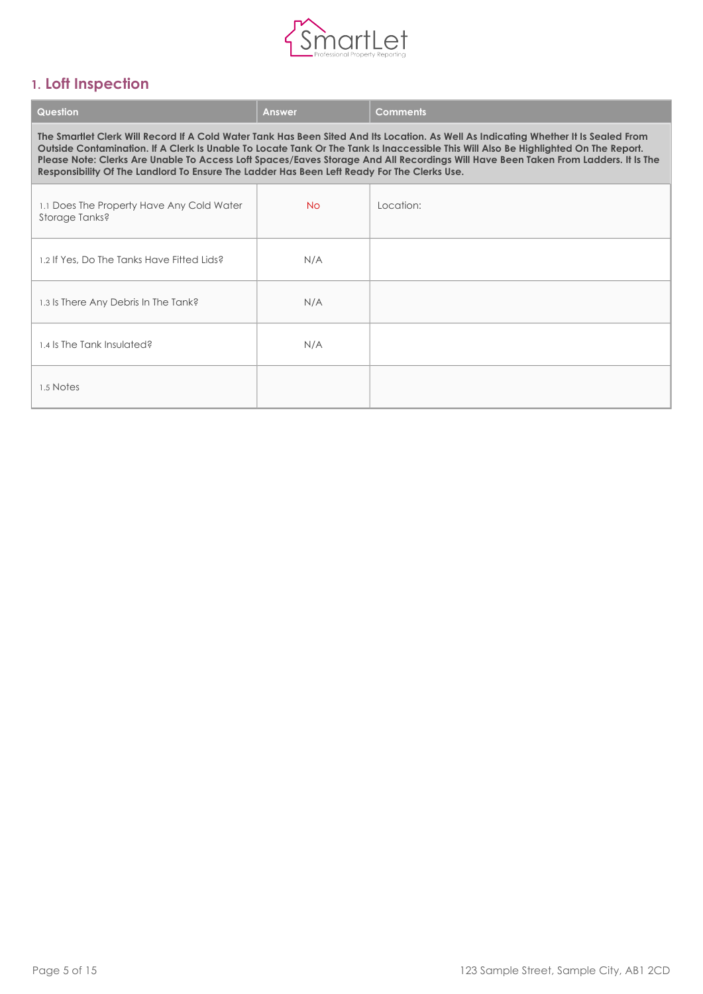

## <span id="page-5-0"></span>**1. Loft Inspection**

| Question                                                                                                                                                                                                                                                                                                                                                                                                                                                                                                         | <b>Answer</b> | <b>Comments</b> |  |
|------------------------------------------------------------------------------------------------------------------------------------------------------------------------------------------------------------------------------------------------------------------------------------------------------------------------------------------------------------------------------------------------------------------------------------------------------------------------------------------------------------------|---------------|-----------------|--|
| The Smartlet Clerk Will Record If A Cold Water Tank Has Been Sited And Its Location. As Well As Indicating Whether It Is Sealed From<br>Outside Contamination. If A Clerk Is Unable To Locate Tank Or The Tank Is Inaccessible This Will Also Be Highlighted On The Report.<br>Please Note: Clerks Are Unable To Access Loft Spaces/Eaves Storage And All Recordings Will Have Been Taken From Ladders. It Is The<br>Responsibility Of The Landlord To Ensure The Ladder Has Been Left Ready For The Clerks Use. |               |                 |  |
| 1.1 Does The Property Have Any Cold Water<br>Storage Tanks?                                                                                                                                                                                                                                                                                                                                                                                                                                                      | No            | Location:       |  |
| 1.2 If Yes, Do The Tanks Have Fitted Lids?                                                                                                                                                                                                                                                                                                                                                                                                                                                                       | N/A           |                 |  |
| 1.3 Is There Any Debris In The Tank?                                                                                                                                                                                                                                                                                                                                                                                                                                                                             | N/A           |                 |  |
| 1.4 ls The Tank Insulated?                                                                                                                                                                                                                                                                                                                                                                                                                                                                                       | N/A           |                 |  |
| 1.5 Notes                                                                                                                                                                                                                                                                                                                                                                                                                                                                                                        |               |                 |  |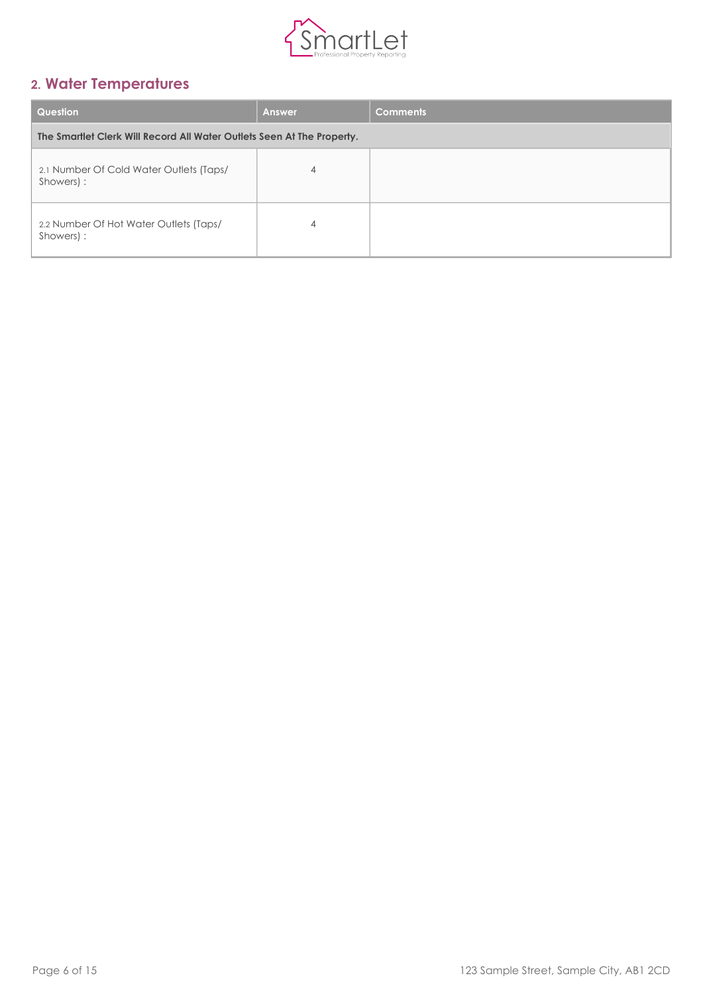

## <span id="page-6-0"></span>**2. Water Temperatures**

| Question                                                               | <b>Answer</b> | <b>Comments</b> |
|------------------------------------------------------------------------|---------------|-----------------|
| The Smartlet Clerk Will Record All Water Outlets Seen At The Property. |               |                 |
| 2.1 Number Of Cold Water Outlets (Taps/<br>Showers) :                  | 4             |                 |
| 2.2 Number Of Hot Water Outlets (Taps/<br>Showers) :                   | 4             |                 |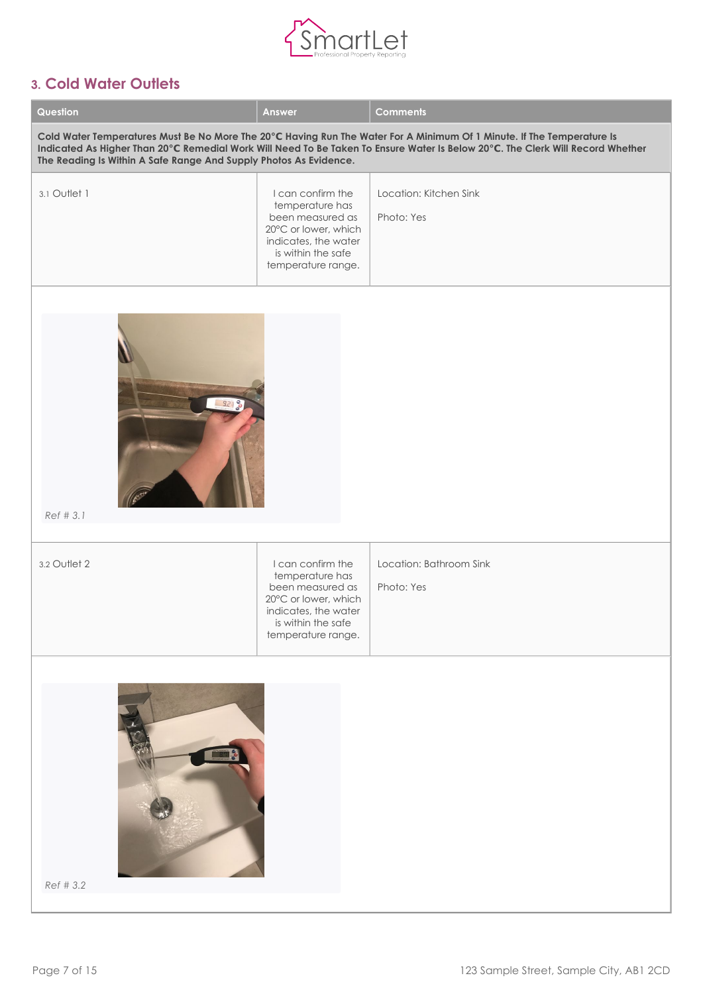

### <span id="page-7-0"></span>**3. Cold Water Outlets**

| Question                                                          | <b>Answer</b>                                                                                                                                        | <b>Comments</b>                                                                                                                                                                                                                                          |
|-------------------------------------------------------------------|------------------------------------------------------------------------------------------------------------------------------------------------------|----------------------------------------------------------------------------------------------------------------------------------------------------------------------------------------------------------------------------------------------------------|
| The Reading Is Within A Safe Range And Supply Photos As Evidence. |                                                                                                                                                      | Cold Water Temperatures Must Be No More The 20°C Having Run The Water For A Minimum Of 1 Minute. If The Temperature Is<br>Indicated As Higher Than 20°C Remedial Work Will Need To Be Taken To Ensure Water Is Below 20°C. The Clerk Will Record Whether |
| 3.1 Outlet 1                                                      | I can confirm the<br>temperature has<br>been measured as<br>20°C or lower, which<br>indicates, the water<br>is within the safe<br>temperature range. | Location: Kitchen Sink<br>Photo: Yes                                                                                                                                                                                                                     |
| 9298<br>Ref # 3.1                                                 |                                                                                                                                                      |                                                                                                                                                                                                                                                          |
| 3.2 Outlet 2                                                      | I can confirm the<br>temperature has<br>been measured as<br>20°C or lower, which<br>indicates, the water<br>is within the safe<br>temperature range. | Location: Bathroom Sink<br>Photo: Yes                                                                                                                                                                                                                    |
| Ref # 3.2                                                         |                                                                                                                                                      |                                                                                                                                                                                                                                                          |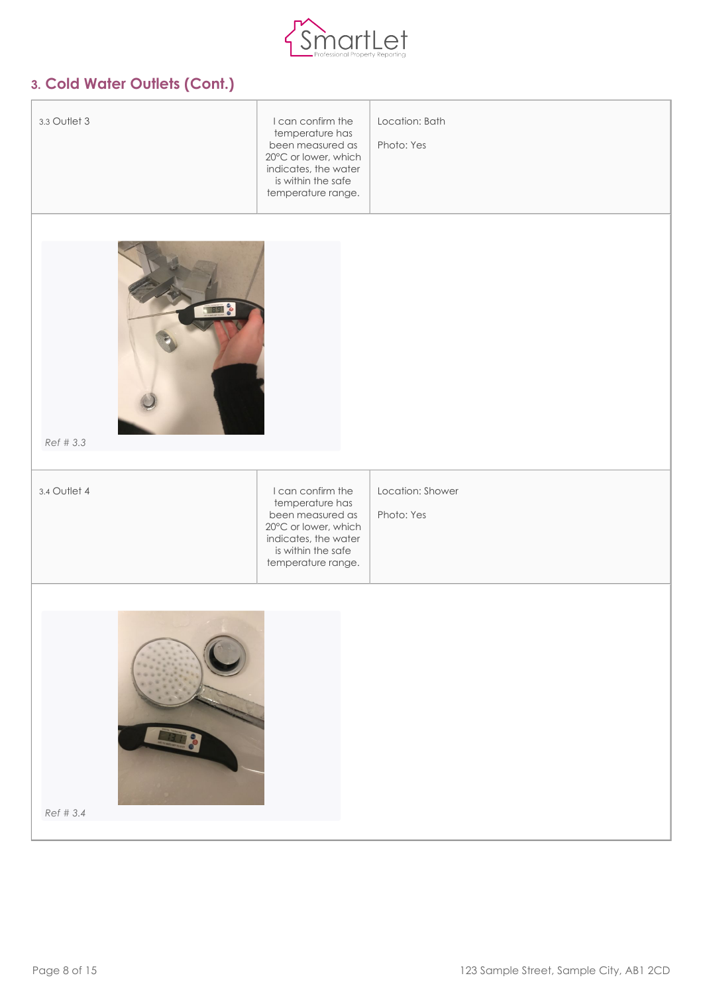

## **3. Cold Water Outlets (Cont.)**

| 3.3 Outlet 3      | I can confirm the<br>temperature has<br>been measured as<br>20°C or lower, which<br>indicates, the water<br>is within the safe<br>temperature range. | Location: Bath<br>Photo: Yes   |
|-------------------|------------------------------------------------------------------------------------------------------------------------------------------------------|--------------------------------|
|                   |                                                                                                                                                      |                                |
| 89 %<br>Ref # 3.3 |                                                                                                                                                      |                                |
| 3.4 Outlet 4      | I can confirm the<br>temperature has<br>been measured as<br>20°C or lower, which<br>indicates, the water<br>is within the safe<br>temperature range. | Location: Shower<br>Photo: Yes |
| Ref # 3.4         |                                                                                                                                                      |                                |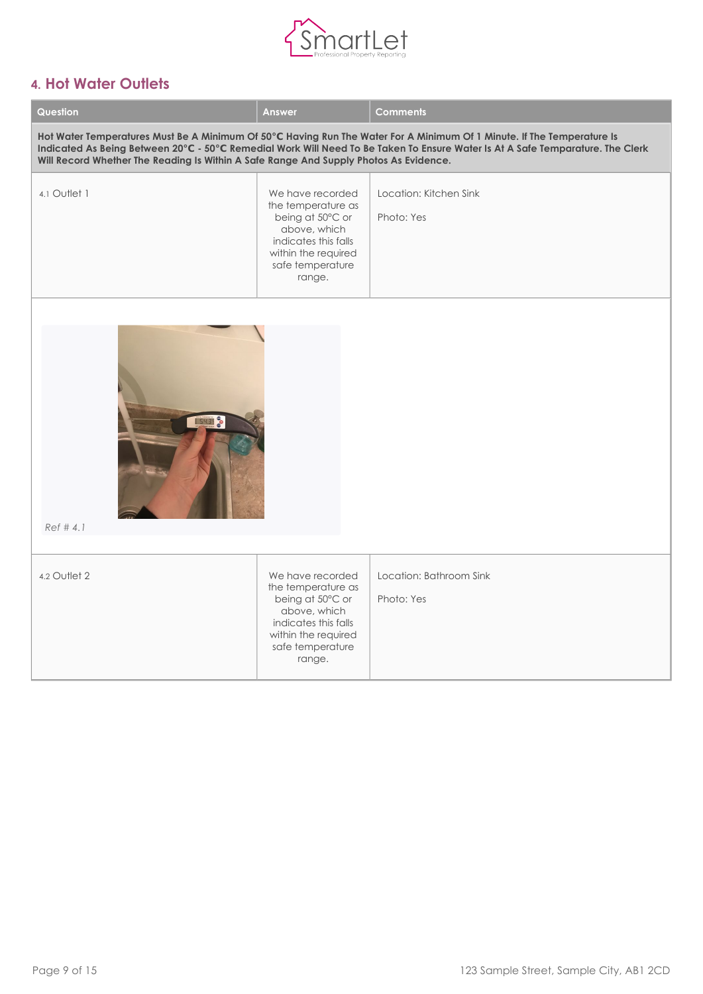

## <span id="page-9-0"></span>**4. Hot Water Outlets**

| Question                                                                                                                                                                                                                                                                                                                                          | <b>Answer</b>                                                                                                                                           | <b>Comments</b>                       |  |  |
|---------------------------------------------------------------------------------------------------------------------------------------------------------------------------------------------------------------------------------------------------------------------------------------------------------------------------------------------------|---------------------------------------------------------------------------------------------------------------------------------------------------------|---------------------------------------|--|--|
| Hot Water Temperatures Must Be A Minimum Of 50°C Having Run The Water For A Minimum Of 1 Minute. If The Temperature Is<br>Indicated As Being Between 20°C - 50°C Remedial Work Will Need To Be Taken To Ensure Water Is At A Safe Temparature. The Clerk<br>Will Record Whether The Reading Is Within A Safe Range And Supply Photos As Evidence. |                                                                                                                                                         |                                       |  |  |
| 4.1 Outlet 1                                                                                                                                                                                                                                                                                                                                      | We have recorded<br>the temperature as<br>being at 50°C or<br>above, which<br>indicates this falls<br>within the required<br>safe temperature<br>range. | Location: Kitchen Sink<br>Photo: Yes  |  |  |
| <b>SY31 &amp;</b><br>Ref # 4.1                                                                                                                                                                                                                                                                                                                    |                                                                                                                                                         |                                       |  |  |
| 4.2 Outlet 2                                                                                                                                                                                                                                                                                                                                      | We have recorded<br>the temperature as<br>being at 50°C or<br>above, which<br>indicates this falls<br>within the required<br>safe temperature<br>range. | Location: Bathroom Sink<br>Photo: Yes |  |  |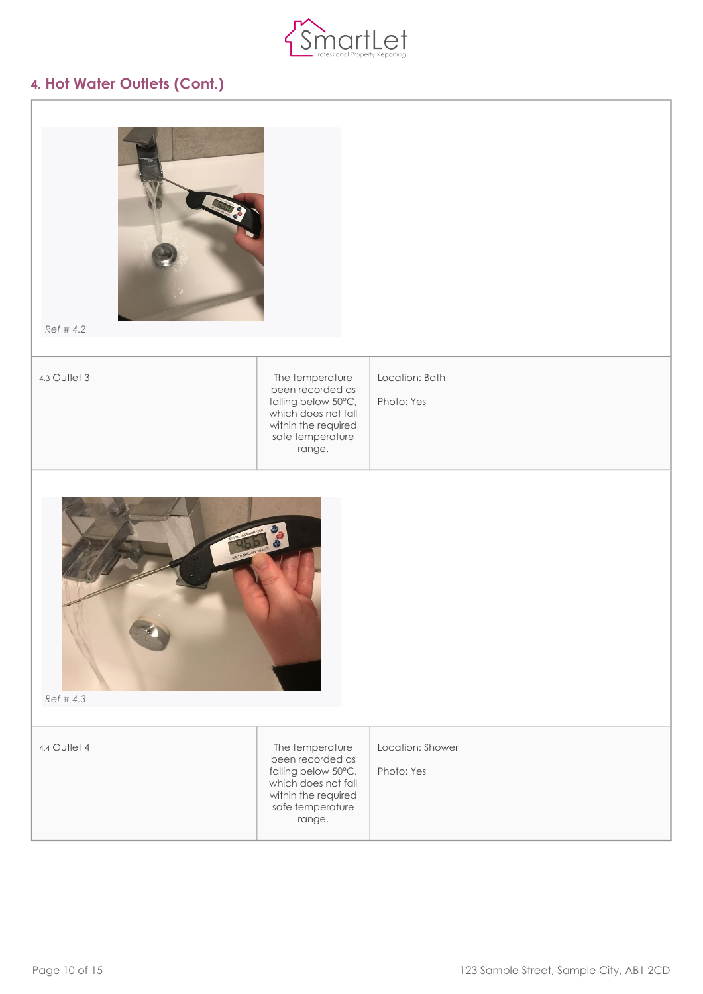

### **4. Hot Water Outlets (Cont.)**

| ŏ<br>ė |  |
|--------|--|
|        |  |
|        |  |
|        |  |
|        |  |
|        |  |

*[Ref # 4.2](https://my.inventorybase.com/generate/preview/report/5ff9307c-a806-4a45-ba51-ec30d7f4d1c6/gallery#attachment-151824264)*

4.3 Outlet 3 The temperature been recorded as falling below 50°C, which does not fall within the required safe temperature range.

Location: Bath

Photo: Yes



*[Ref # 4.3](https://my.inventorybase.com/generate/preview/report/5ff9307c-a806-4a45-ba51-ec30d7f4d1c6/gallery#attachment-151824280)*

4.4 Outlet 4 The temperature been recorded as falling below 50°C, which does not fall within the required safe temperature range. Location: Shower Photo: Yes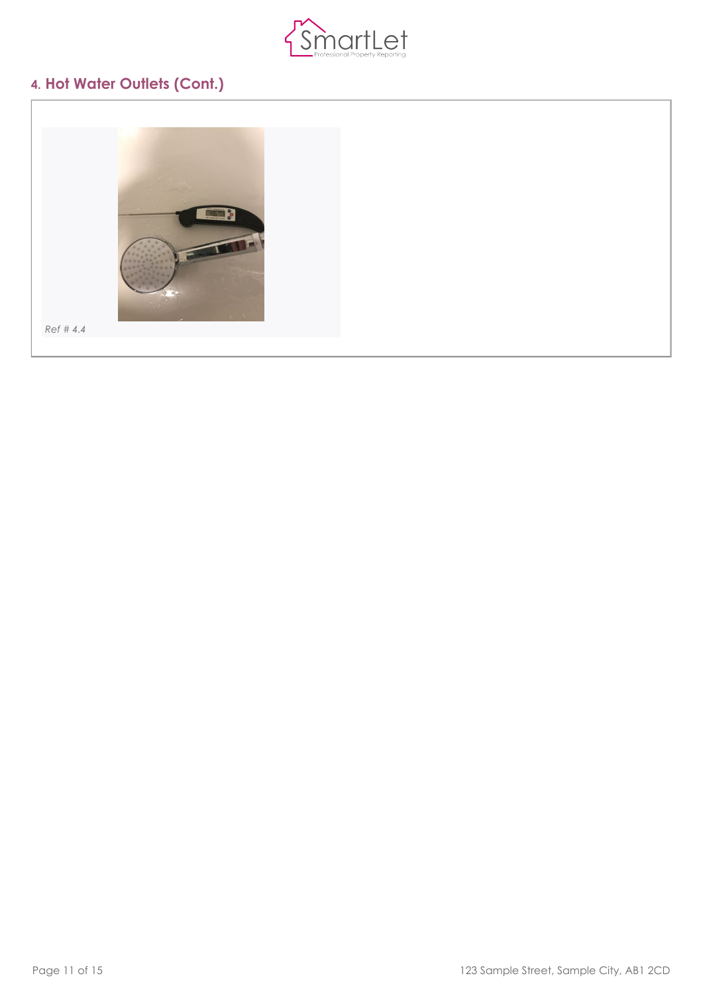

## **4. Hot Water Outlets (Cont.)**

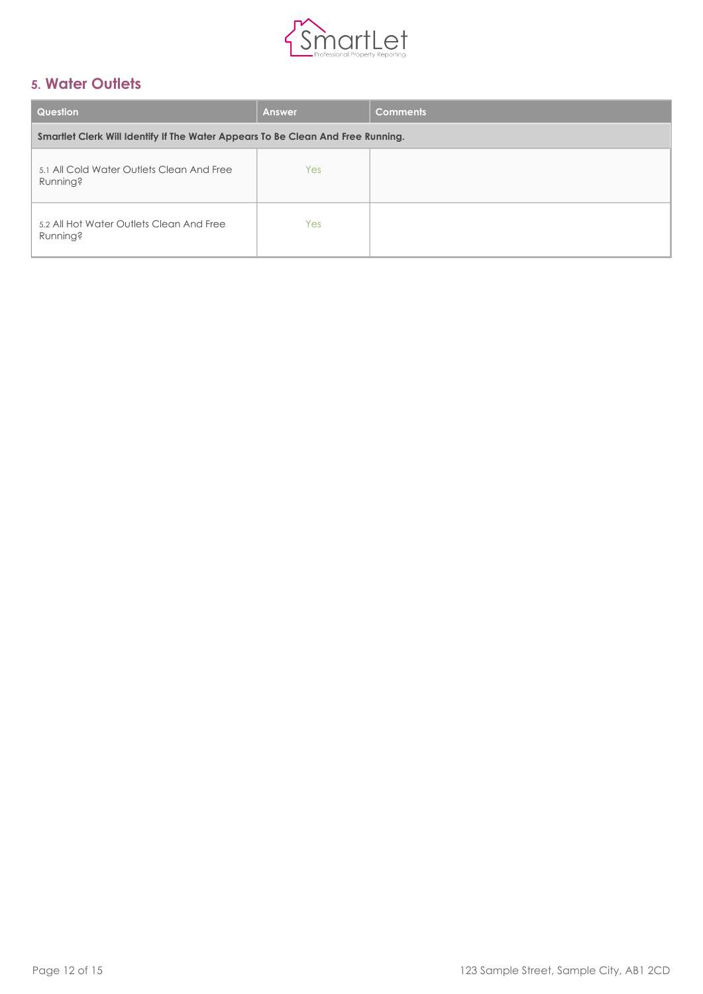

## <span id="page-12-0"></span>**5. Water Outlets**

| Question                                                                        | <b>Answer</b> | <b>Comments</b> |
|---------------------------------------------------------------------------------|---------------|-----------------|
| Smartlet Clerk Will Identify If The Water Appears To Be Clean And Free Running. |               |                 |
| 5.1 All Cold Water Outlets Clean And Free<br><b>Running?</b>                    | Yes           |                 |
| 5.2 All Hot Water Outlets Clean And Free<br><b>Running?</b>                     | Yes           |                 |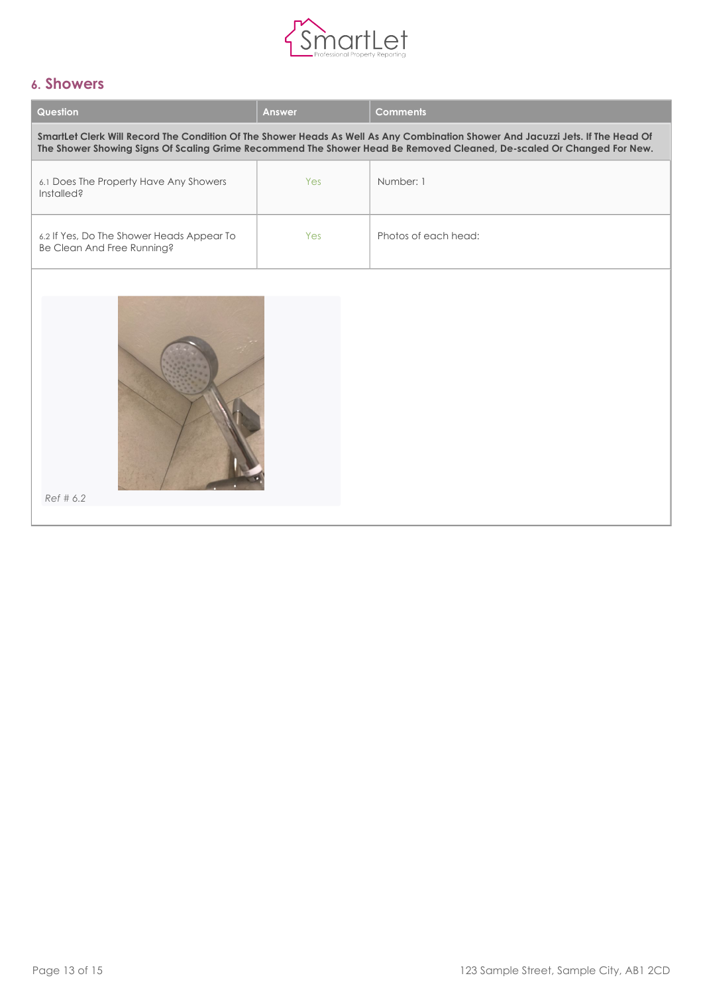

### <span id="page-13-0"></span>**6. Showers**

| Question                                                                                                                                                                                                                                                 | <b>Answer</b> | <b>Comments</b>      |  |
|----------------------------------------------------------------------------------------------------------------------------------------------------------------------------------------------------------------------------------------------------------|---------------|----------------------|--|
| SmartLet Clerk Will Record The Condition Of The Shower Heads As Well As Any Combination Shower And Jacuzzi Jets. If The Head Of<br>The Shower Showing Signs Of Scaling Grime Recommend The Shower Head Be Removed Cleaned, De-scaled Or Changed For New. |               |                      |  |
| 6.1 Does The Property Have Any Showers<br>Installed?                                                                                                                                                                                                     | Yes           | Number: 1            |  |
| 6.2 If Yes, Do The Shower Heads Appear To<br>Be Clean And Free Running?                                                                                                                                                                                  | Yes           | Photos of each head: |  |
| Ref # 6.2                                                                                                                                                                                                                                                |               |                      |  |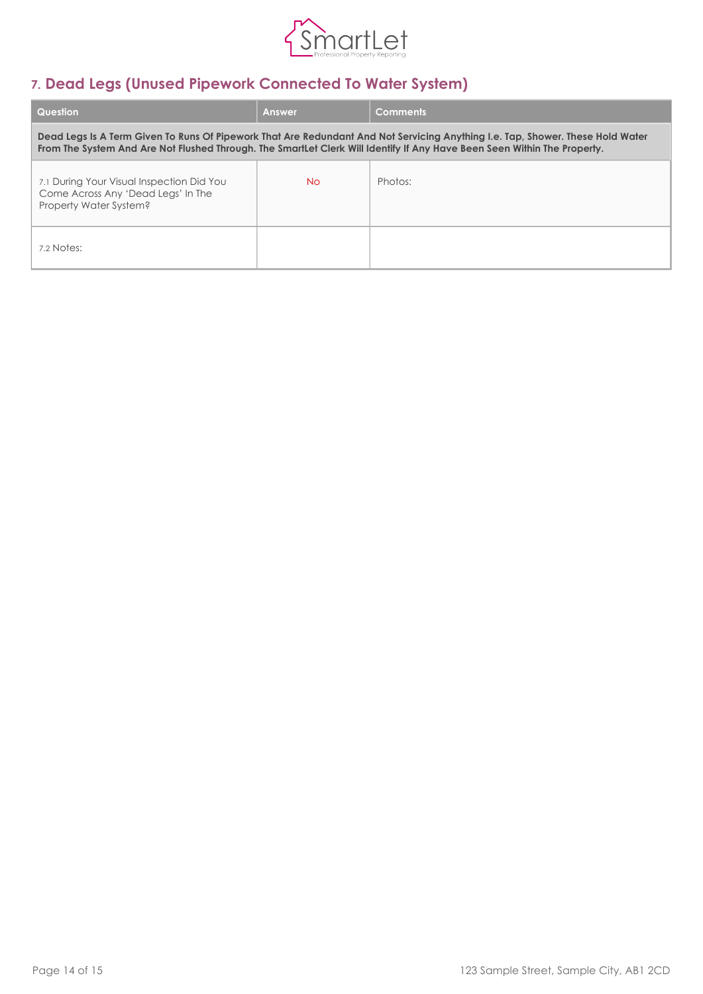

## <span id="page-14-0"></span>**7. Dead Legs (Unused Pipework Connected To Water System)**

| <b>Question</b>                                                                                                                                                                                                                                            | <b>Answer</b> | <b>Comments</b> |
|------------------------------------------------------------------------------------------------------------------------------------------------------------------------------------------------------------------------------------------------------------|---------------|-----------------|
| Dead Legs Is A Term Given To Runs Of Pipework That Are Redundant And Not Servicing Anything I.e. Tap, Shower. These Hold Water<br>From The System And Are Not Flushed Through. The SmartLet Clerk Will Identify If Any Have Been Seen Within The Property. |               |                 |
| 7.1 During Your Visual Inspection Did You<br>Come Across Any 'Dead Legs' In The<br>Property Water System?                                                                                                                                                  | No.           | Photos:         |
| 7.2 Notes:                                                                                                                                                                                                                                                 |               |                 |